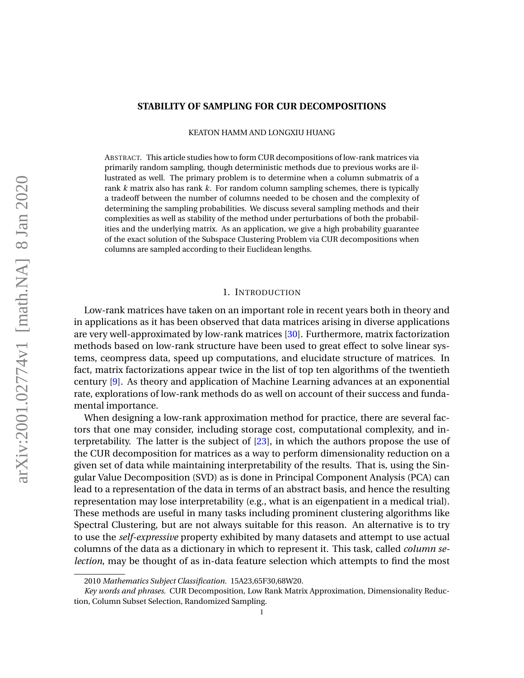#### **STABILITY OF SAMPLING FOR CUR DECOMPOSITIONS**

KEATON HAMM AND LONGXIU HUANG

ABSTRACT. This article studies how to form CUR decompositions of low-rank matrices via primarily random sampling, though deterministic methods due to previous works are illustrated as well. The primary problem is to determine when a column submatrix of a rank *k* matrix also has rank *k*. For random column sampling schemes, there is typically a tradeoff between the number of columns needed to be chosen and the complexity of determining the sampling probabilities. We discuss several sampling methods and their complexities as well as stability of the method under perturbations of both the probabilities and the underlying matrix. As an application, we give a high probability guarantee of the exact solution of the Subspace Clustering Problem via CUR decompositions when columns are sampled according to their Euclidean lengths.

## 1. INTRODUCTION

Low-rank matrices have taken on an important role in recent years both in theory and in applications as it has been observed that data matrices arising in diverse applications are very well-approximated by low-rank matrices [\[30\]](#page-17-0). Furthermore, matrix factorization methods based on low-rank structure have been used to great effect to solve linear systems, ceompress data, speed up computations, and elucidate structure of matrices. In fact, matrix factorizations appear twice in the list of top ten algorithms of the twentieth century [\[9\]](#page-16-0). As theory and application of Machine Learning advances at an exponential rate, explorations of low-rank methods do as well on account of their success and fundamental importance.

When designing a low-rank approximation method for practice, there are several factors that one may consider, including storage cost, computational complexity, and interpretability. The latter is the subject of [\[23\]](#page-16-1), in which the authors propose the use of the CUR decomposition for matrices as a way to perform dimensionality reduction on a given set of data while maintaining interpretability of the results. That is, using the Singular Value Decomposition (SVD) as is done in Principal Component Analysis (PCA) can lead to a representation of the data in terms of an abstract basis, and hence the resulting representation may lose interpretability (e.g., what is an eigenpatient in a medical trial). These methods are useful in many tasks including prominent clustering algorithms like Spectral Clustering, but are not always suitable for this reason. An alternative is to try to use the *self-expressive* property exhibited by many datasets and attempt to use actual columns of the data as a dictionary in which to represent it. This task, called *column selection*, may be thought of as in-data feature selection which attempts to find the most

<sup>2010</sup> *Mathematics Subject Classification.* 15A23,65F30,68W20.

*Key words and phrases.* CUR Decomposition, Low Rank Matrix Approximation, Dimensionality Reduction, Column Subset Selection, Randomized Sampling.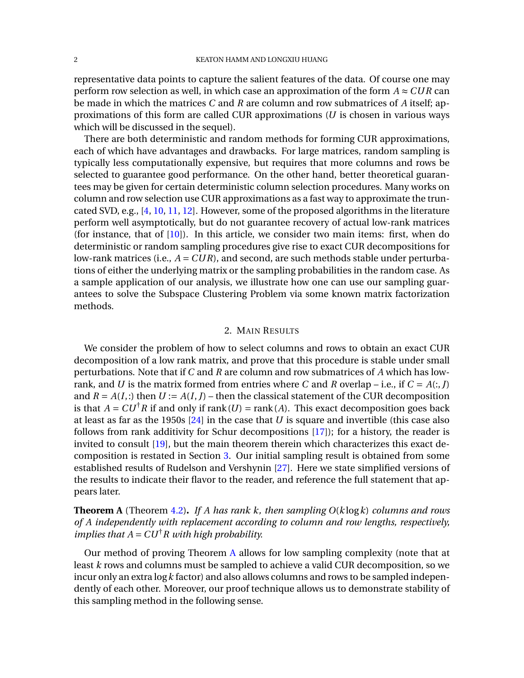representative data points to capture the salient features of the data. Of course one may perform row selection as well, in which case an approximation of the form  $A \approx C U R$  can be made in which the matrices *C* and *R* are column and row submatrices of *A* itself; approximations of this form are called CUR approximations (*U* is chosen in various ways which will be discussed in the sequel).

There are both deterministic and random methods for forming CUR approximations, each of which have advantages and drawbacks. For large matrices, random sampling is typically less computationally expensive, but requires that more columns and rows be selected to guarantee good performance. On the other hand, better theoretical guarantees may be given for certain deterministic column selection procedures. Many works on column and row selection use CUR approximations as a fast way to approximate the truncated SVD, e.g., [\[4,](#page-16-2) [10,](#page-16-3) [11,](#page-16-4) [12\]](#page-16-5). However, some of the proposed algorithms in the literature perform well asymptotically, but do not guarantee recovery of actual low-rank matrices (for instance, that of  $[10]$ ). In this article, we consider two main items: first, when do deterministic or random sampling procedures give rise to exact CUR decompositions for low-rank matrices (i.e.,  $A = CUR$ ), and second, are such methods stable under perturbations of either the underlying matrix or the sampling probabilities in the random case. As a sample application of our analysis, we illustrate how one can use our sampling guarantees to solve the Subspace Clustering Problem via some known matrix factorization methods.

# 2. MAIN RESULTS

We consider the problem of how to select columns and rows to obtain an exact CUR decomposition of a low rank matrix, and prove that this procedure is stable under small perturbations. Note that if *C* and *R* are column and row submatrices of *A* which has lowrank, and *U* is the matrix formed from entries where *C* and *R* overlap – i.e., if  $C = A(:, J)$ and  $R = A(I,:)$  then  $U := A(I, I)$  – then the classical statement of the CUR decomposition is that  $A = CU^{\dagger}R$  if and only if rank  $(U) = \text{rank}(A)$ . This exact decomposition goes back at least as far as the 1950s [\[24\]](#page-17-1) in the case that *U* is square and invertible (this case also follows from rank additivity for Schur decompositions [\[17\]](#page-16-6)); for a history, the reader is invited to consult [\[19\]](#page-16-7), but the main theorem therein which characterizes this exact decomposition is restated in Section [3.](#page-3-0) Our initial sampling result is obtained from some established results of Rudelson and Vershynin [\[27\]](#page-17-2). Here we state simplified versions of the results to indicate their flavor to the reader, and reference the full statement that appears later.

<span id="page-1-0"></span>**Theorem A** (Theorem [4.2\)](#page-6-0)**.** *If A has rank k, then sampling O*(*k* log*k*) *columns and rows of A independently with replacement according to column and row lengths, respectively, implies that*  $A = CU^{\dagger}R$  *with high probability.* 

Our method of proving Theorem [A](#page-1-0) allows for low sampling complexity (note that at least *k* rows and columns must be sampled to achieve a valid CUR decomposition, so we incur only an extra log*k* factor) and also allows columns and rows to be sampled independently of each other. Moreover, our proof technique allows us to demonstrate stability of this sampling method in the following sense.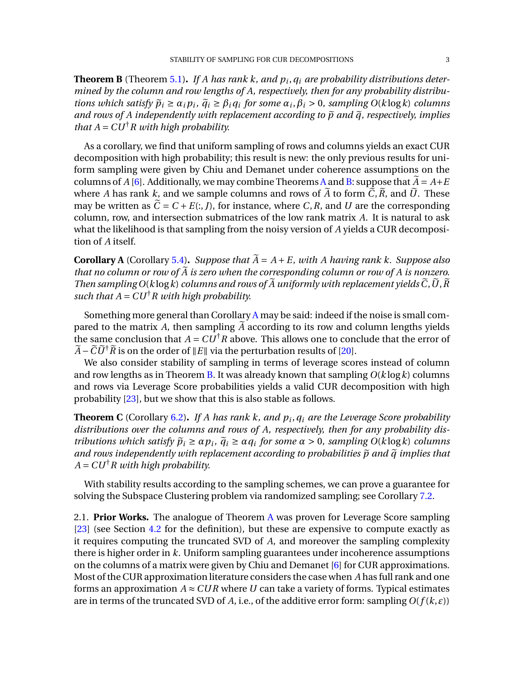<span id="page-2-0"></span>**Theorem B** (Theorem [5.1\)](#page-7-0)**.** *If A has rank k, and p<sup>i</sup>* ,*q<sup>i</sup> are probability distributions determined by the column and row lengths of A, respectively, then for any probability distribu*tions which satisfy  $\tilde{p}_i \ge \alpha_i p_i$ ,  $\tilde{q}_i \ge \beta_i q_i$  for some  $\alpha_i, \beta_i > 0$ , sampling  $O(k \log k)$  columns *and rows of A independently with replacement according to*  $\tilde{p}$  *and*  $\tilde{q}$ *, respectively, implies that*  $A = CU^{\dagger}R$  *with high probability.* 

As a corollary, we find that uniform sampling of rows and columns yields an exact CUR decomposition with high probability; this result is new: the only previous results for uniform sampling were given by Chiu and Demanet under coherence assumptions on the columns of *[A](#page-1-0)* [\[6\]](#page-16-8). Additionally, we may combine Theorems A and [B:](#page-2-0) suppose that  $\tilde{A} = A + E$ where *A* has rank *k*, and we sample columns and rows of  $\tilde{A}$  to form  $\tilde{C}$ ,  $\tilde{R}$ , and  $\tilde{U}$ . These may be written as  $\tilde{C} = C + E(:,J)$ , for instance, where *C*, *R*, and *U* are the corresponding column, row, and intersection submatrices of the low rank matrix *A*. It is natural to ask what the likelihood is that sampling from the noisy version of *A* yields a CUR decomposition of *A* itself.

<span id="page-2-1"></span>**Corollary A** (Corollary [5.4\)](#page-8-0). *Suppose that*  $\widetilde{A} = A + E$ , with A having rank k. Suppose also *that no column or row of*  $\tilde{A}$  *is zero when the corresponding column or row of* A *is nonzero. Then sampling*  $O(k \log k)$  *columns and rows of*  $\widetilde{A}$  *uniformly with replacement yields*  $\widetilde{C}$ ,  $\widetilde{U}$ ,  $\widetilde{R}$ *such that*  $A = CU^{\dagger}R$  *with high probability.* 

Something more general than Corollary [A](#page-2-1) may be said: indeed if the noise is small compared to the matrix A, then sampling  $\tilde{A}$  according to its row and column lengths yields the same conclusion that  $A = CU^{\dagger}R$  above. This allows one to conclude that the error of  $\widetilde{A}-\widetilde{C}\widetilde{U}^{\dagger}\widetilde{R}$  is on the order of  $||E||$  via the perturbation results of [\[20\]](#page-16-9).

We also consider stability of sampling in terms of leverage scores instead of column and row lengths as in Theorem [B.](#page-2-0) It was already known that sampling  $O(k \log k)$  columns and rows via Leverage Score probabilities yields a valid CUR decomposition with high probability [\[23\]](#page-16-1), but we show that this is also stable as follows.

<span id="page-2-2"></span>**Theorem C** (Corollary [6.2\)](#page-11-0)**.** *If A has rank k, and p<sup>i</sup>* ,*q<sup>i</sup> are the Leverage Score probability distributions over the columns and rows of A, respectively, then for any probability distributions which satisfy*  $\tilde{p}_i \ge \alpha p_i$ ,  $\tilde{q}_i \ge \alpha q_i$  *for some*  $\alpha > 0$ *, sampling*  $O(k \log k)$  *columns* and  $\tilde{q}_i$  *implies that and rows independently with replacement according to probabilities*  $\tilde{p}$  *and*  $\tilde{q}$  *implies that*  $A = CU^{\dagger}R$  *with high probability.* 

With stability results according to the sampling schemes, we can prove a guarantee for solving the Subspace Clustering problem via randomized sampling; see Corollary [7.2.](#page-13-0)

2.1. **Prior Works.** The analogue of Theorem [A](#page-1-0) was proven for Leverage Score sampling [\[23\]](#page-16-1) (see Section [4.2](#page-5-0) for the definition), but these are expensive to compute exactly as it requires computing the truncated SVD of *A*, and moreover the sampling complexity there is higher order in *k*. Uniform sampling guarantees under incoherence assumptions on the columns of a matrix were given by Chiu and Demanet [\[6\]](#page-16-8) for CUR approximations. Most of the CUR approximation literature considers the case when *A* has full rank and one forms an approximation  $A \approx C U R$  where U can take a variety of forms. Typical estimates are in terms of the truncated SVD of *A*, i.e., of the additive error form: sampling  $O(f(k, \varepsilon))$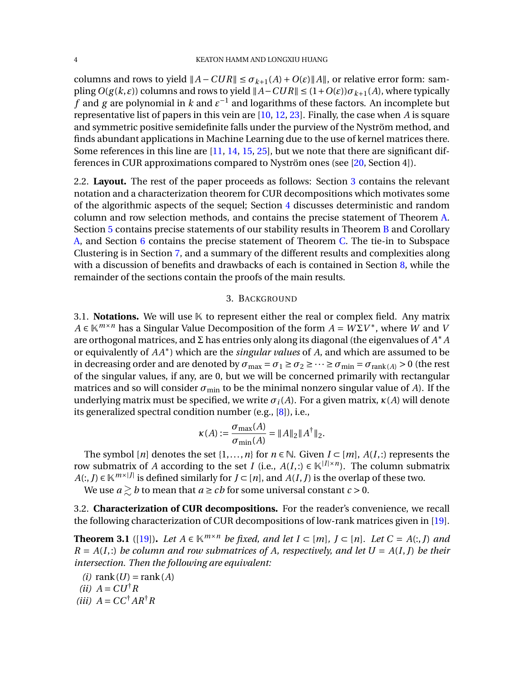columns and rows to yield  $||A - CUR|| \le \sigma_{k+1}(A) + O(\varepsilon) ||A||$ , or relative error form: sampling  $O(g(k,\varepsilon))$  columns and rows to yield  $||A-CUR|| \leq (1+O(\varepsilon))\sigma_{k+1}(A)$ , where typically *f* and *g* are polynomial in *k* and  $\varepsilon^{-1}$  and logarithms of these factors. An incomplete but representative list of papers in this vein are [\[10,](#page-16-3) [12,](#page-16-5) [23\]](#page-16-1). Finally, the case when *A* is square and symmetric positive semidefinite falls under the purview of the Nyström method, and finds abundant applications in Machine Learning due to the use of kernel matrices there. Some references in this line are [\[11,](#page-16-4) [14,](#page-16-10) [15,](#page-16-11) [25\]](#page-17-3), but we note that there are significant differences in CUR approximations compared to Nyström ones (see [\[20,](#page-16-9) Section 4]).

2.2. **Layout.** The rest of the paper proceeds as follows: Section [3](#page-3-0) contains the relevant notation and a characterization theorem for CUR decompositions which motivates some of the algorithmic aspects of the sequel; Section [4](#page-4-0) discusses deterministic and random column and row selection methods, and contains the precise statement of Theorem [A.](#page-1-0) Section [5](#page-7-1) contains precise statements of our stability results in Theorem [B](#page-2-0) and Corollary [A,](#page-2-1) and Section [6](#page-10-0) contains the precise statement of Theorem [C.](#page-2-2) The tie-in to Subspace Clustering is in Section [7,](#page-12-0) and a summary of the different results and complexities along with a discussion of benefits and drawbacks of each is contained in Section [8,](#page-13-1) while the remainder of the sections contain the proofs of the main results.

## 3. BACKGROUND

<span id="page-3-0"></span>3.1. **Notations.** We will use  $K$  to represent either the real or complex field. Any matrix  $A \in \mathbb{K}^{m \times n}$  has a Singular Value Decomposition of the form  $A = W\Sigma V^*$ , where  $W$  and *V* are orthogonal matrices, and Σ has entries only along its diagonal (the eigenvalues of *A* ∗ *A* or equivalently of *AA*<sup>∗</sup> ) which are the *singular values* of *A*, and which are assumed to be in decreasing order and are denoted by  $\sigma_{\text{max}} = \sigma_1 \ge \sigma_2 \ge \cdots \ge \sigma_{\text{min}} = \sigma_{\text{rank}(A)} > 0$  (the rest of the singular values, if any, are 0, but we will be concerned primarily with rectangular matrices and so will consider  $\sigma_{\min}$  to be the minimal nonzero singular value of *A*). If the underlying matrix must be specified, we write  $\sigma_i(A)$ . For a given matrix,  $\kappa(A)$  will denote its generalized spectral condition number (e.g., [\[8\]](#page-16-12)), i.e.,

$$
\kappa(A) := \frac{\sigma_{\max}(A)}{\sigma_{\min}(A)} = ||A||_2 ||A^{\dagger}||_2.
$$

The symbol  $[n]$  denotes the set  $\{1, ..., n\}$  for  $n \in \mathbb{N}$ . Given  $I \subset [m]$ ,  $A(I,:)$  represents the row submatrix of *A* according to the set *I* (i.e.,  $A(I,:) \in \mathbb{K}^{|I| \times n}$ ). The column submatrix *A*(:*, J*) ∈  $\mathbb{K}^{m\times |J|}$  is defined similarly for *J* ⊂ [*n*], and *A*(*I*, *J*) is the overlap of these two.

We use  $a \geq b$  to mean that  $a \geq cb$  for some universal constant  $c > 0$ .

3.2. **Characterization of CUR decompositions.** For the reader's convenience, we recall the following characterization of CUR decompositions of low-rank matrices given in [\[19\]](#page-16-7).

<span id="page-3-1"></span>**Theorem 3.1** ([\[19\]](#page-16-7)). Let  $A \in \mathbb{K}^{m \times n}$  be fixed, and let  $I \subset [m]$ ,  $J \subset [n]$ . Let  $C = A(:,J)$  and  $R = A(I,:)$  *be column and row submatrices of A, respectively, and let*  $U = A(I, J)$  *<i>be their intersection. Then the following are equivalent:*

<span id="page-3-4"></span><span id="page-3-3"></span><span id="page-3-2"></span> $(i)$  rank  $(U)$  = rank  $(A)$  $(iii)$   $A = CU^{\dagger}R$  $(iii)$   $A = CC^{\dagger}AR^{\dagger}R$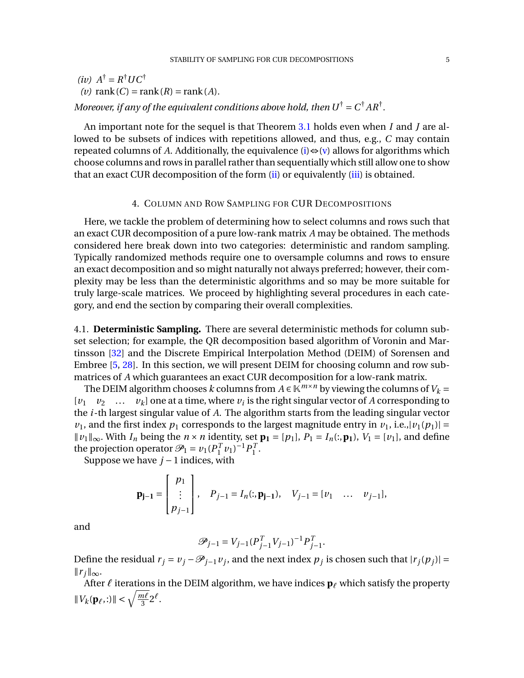<span id="page-4-1"></span> $(iv)$   $A^{\dagger} = R^{\dagger} U C^{\dagger}$  $(v)$  rank  $(C)$  = rank  $(R)$  = rank  $(A)$ . *Moreover, if any of the equivalent conditions above hold, then*  $U^\dagger$  *=*  $C^\dagger A R^\dagger$  *.* 

An important note for the sequel is that Theorem [3.1](#page-3-1) holds even when *I* and *J* are allowed to be subsets of indices with repetitions allowed, and thus, e.g., *C* may contain repeated columns of *A*. Additionally, the equivalence [\(i\)](#page-3-2) $\Leftrightarrow$  [\(v\)](#page-4-1) allows for algorithms which choose columns and rows in parallel rather than sequentially which still allow one to show that an exact CUR decomposition of the form [\(ii\)](#page-3-3) or equivalently [\(iii\)](#page-3-4) is obtained.

## 4. COLUMN AND ROW SAMPLING FOR CUR DECOMPOSITIONS

<span id="page-4-0"></span>Here, we tackle the problem of determining how to select columns and rows such that an exact CUR decomposition of a pure low-rank matrix *A* may be obtained. The methods considered here break down into two categories: deterministic and random sampling. Typically randomized methods require one to oversample columns and rows to ensure an exact decomposition and so might naturally not always preferred; however, their complexity may be less than the deterministic algorithms and so may be more suitable for truly large-scale matrices. We proceed by highlighting several procedures in each category, and end the section by comparing their overall complexities.

4.1. **Deterministic Sampling.** There are several deterministic methods for column subset selection; for example, the QR decomposition based algorithm of Voronin and Martinsson [\[32\]](#page-17-4) and the Discrete Empirical Interpolation Method (DEIM) of Sorensen and Embree [\[5,](#page-16-13) [28\]](#page-17-5). In this section, we will present DEIM for choosing column and row submatrices of *A* which guarantees an exact CUR decomposition for a low-rank matrix.

The DEIM algorithm chooses *k* columns from  $A \in \mathbb{K}^{m \times n}$  by viewing the columns of  $V_k =$  $[v_1 \quad v_2 \quad \dots \quad v_k]$  one at a time, where  $v_i$  is the right singular vector of *A* corresponding to the *i*-th largest singular value of *A*. The algorithm starts from the leading singular vector  $v_1$ , and the first index  $p_1$  corresponds to the largest magnitude entry in  $v_1$ , i.e.,  $|v_1(p_1)| =$ *W*<sub>1</sub>k<sub>∞</sub>. With *I<sub>n</sub>* being the *n* × *n* identity, set  $\mathbf{p}_1 = [p_1]$ ,  $P_1 = I_n(:,\mathbf{p}_1)$ ,  $V_1 = [v_1]$ , and define the projection operator  $\mathcal{P}_1 = v_1 (P_1^T)$  $\sum_{1}^{T} v_1$ <sup> $-1$ </sup> $P_1^T$  $\frac{1}{1}$ .

Suppose we have *j* −1 indices, with

$$
\mathbf{p}_{\mathbf{j}-\mathbf{1}} = \begin{bmatrix} p_1 \\ \vdots \\ p_{j-1} \end{bmatrix}, \quad P_{j-1} = I_n(:,\mathbf{p}_{\mathbf{j}-\mathbf{1}}), \quad V_{j-1} = \begin{bmatrix} v_1 & \dots & v_{j-1} \end{bmatrix},
$$

and

$$
\mathcal{P}_{j-1} = V_{j-1} (P_{j-1}^T V_{j-1})^{-1} P_{j-1}^T.
$$

Define the residual  $r_j = v_j - \mathcal{P}_{j-1}v_j$ , and the next index  $p_j$  is chosen such that  $|r_j(p_j)| =$  $||r_i||_{\infty}$ .

After  $\ell$  iterations in the DEIM algorithm, we have indices  $\mathbf{p}_\ell$  which satisfy the property  $||V_k(\mathbf{p}_{\ell},:)|| < \sqrt{\frac{m\ell}{3}}$  $\frac{n\ell}{3}2^{\ell}$ .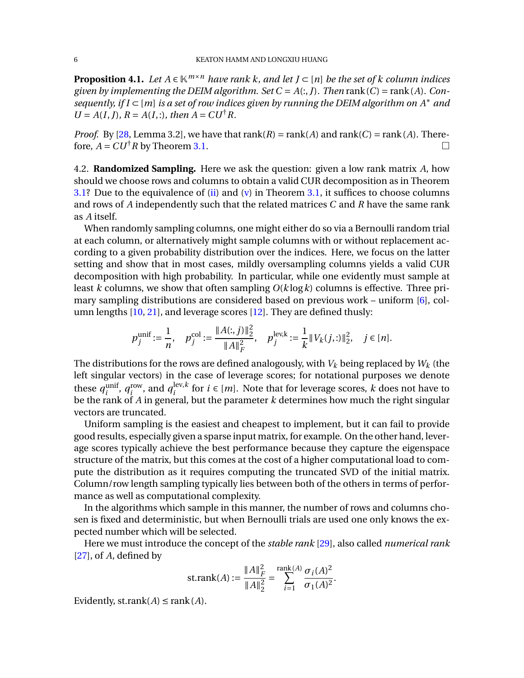<span id="page-5-1"></span>**Proposition 4.1.** *Let*  $A \in \mathbb{K}^{m \times n}$  *have rank k, and let*  $J \subset [n]$  *be the set of k column indices given by implementing the DEIM algorithm. Set*  $C = A(:, J)$ *. Then rank*  $(C) = \text{rank}(A)$ . Con*sequently, if I* ⊂ [*m*] *is a set of row indices given by running the DEIM algorithm on A*<sup>∗</sup> *and*  $U = A(I, I), R = A(I,:),$  then  $A = CU^{\dagger}R$ .

*Proof.* By [\[28,](#page-17-5) Lemma 3.2], we have that  $rank(R) = rank(A)$  and  $rank(C) = rank(A)$ . Therefore,  $A = CU^{\dagger}R$  by Theorem [3.1.](#page-3-1)

<span id="page-5-0"></span>4.2. **Randomized Sampling.** Here we ask the question: given a low rank matrix *A*, how should we choose rows and columns to obtain a valid CUR decomposition as in Theorem [3.1?](#page-3-1) Due to the equivalence of [\(ii\)](#page-3-3) and [\(v\)](#page-4-1) in Theorem [3.1,](#page-3-1) it suffices to choose columns and rows of *A* independently such that the related matrices *C* and *R* have the same rank as *A* itself.

When randomly sampling columns, one might either do so via a Bernoulli random trial at each column, or alternatively might sample columns with or without replacement according to a given probability distribution over the indices. Here, we focus on the latter setting and show that in most cases, mildly oversampling columns yields a valid CUR decomposition with high probability. In particular, while one evidently must sample at least *k* columns, we show that often sampling  $O(k \log k)$  columns is effective. Three primary sampling distributions are considered based on previous work – uniform [\[6\]](#page-16-8), column lengths [\[10,](#page-16-3) [21\]](#page-16-14), and leverage scores [\[12\]](#page-16-5). They are defined thusly:

$$
p_j^{\text{unif}} := \frac{1}{n}, \quad p_j^{\text{col}} := \frac{\|A(:,j)\|_2^2}{\|A\|_F^2}, \quad p_j^{\text{lev},k} := \frac{1}{k} \|V_k(j,:)\|_2^2, \quad j \in [n].
$$

The distributions for the rows are defined analogously, with  $V_k$  being replaced by  $W_k$  (the left singular vectors) in the case of leverage scores; for notational purposes we denote these  $q_i^{\text{unif}}$  $\iint_i$ ,  $q_i^{\text{row}}$  $\int_{i}^{\text{row}}$ , and  $q_i^{\text{lev},k}$  $i$ <sup>lev,*k*</sup> for *i* ∈ [*m*]. Note that for leverage scores, *k* does not have to be the rank of *A* in general, but the parameter *k* determines how much the right singular vectors are truncated.

Uniform sampling is the easiest and cheapest to implement, but it can fail to provide good results, especially given a sparse input matrix, for example. On the other hand, leverage scores typically achieve the best performance because they capture the eigenspace structure of the matrix, but this comes at the cost of a higher computational load to compute the distribution as it requires computing the truncated SVD of the initial matrix. Column/row length sampling typically lies between both of the others in terms of performance as well as computational complexity.

In the algorithms which sample in this manner, the number of rows and columns chosen is fixed and deterministic, but when Bernoulli trials are used one only knows the expected number which will be selected.

Here we must introduce the concept of the *stable rank* [\[29\]](#page-17-6), also called *numerical rank* [\[27\]](#page-17-2), of *A*, defined by

st.rank(A) := 
$$
\frac{\|A\|_F^2}{\|A\|_2^2} = \sum_{i=1}^{\text{rank}(A)} \frac{\sigma_i(A)^2}{\sigma_1(A)^2}.
$$

Evidently,  $st.\text{rank}(A) \leq \text{rank}(A)$ .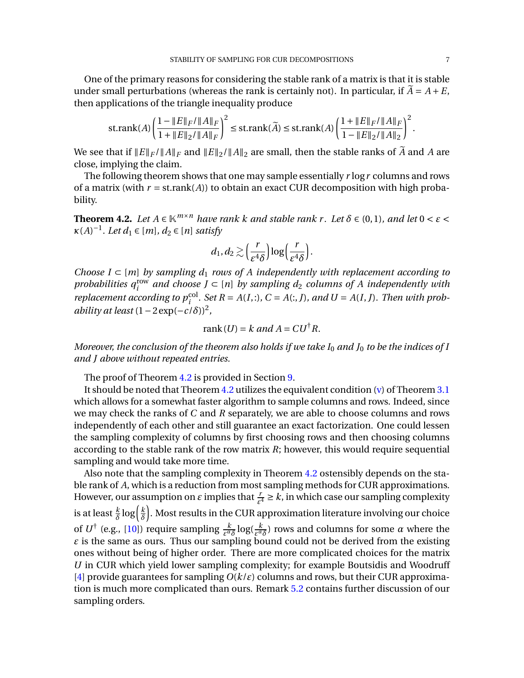One of the primary reasons for considering the stable rank of a matrix is that it is stable under small perturbations (whereas the rank is certainly not). In particular, if  $\widetilde{A} = A + E$ , then applications of the triangle inequality produce

$$
\text{st.rank}(A) \left( \frac{1 - \|E\|_F / \|A\|_F}{1 + \|E\|_2 / \|A\|_F} \right)^2 \le \text{st.rank}(\widetilde{A}) \le \text{st.rank}(A) \left( \frac{1 + \|E\|_F / \|A\|_F}{1 - \|E\|_2 / \|A\|_2} \right)^2.
$$

We see that if  $||E||_F / ||A||_F$  and  $||E||_2 / ||A||_2$  are small, then the stable ranks of  $\widetilde{A}$  and A are close, implying the claim.

The following theorem shows that one may sample essentially *r* log*r* columns and rows of a matrix (with  $r = st.rank(A)$ ) to obtain an exact CUR decomposition with high probability.

<span id="page-6-0"></span>**Theorem 4.2.** *Let*  $A \in \mathbb{K}^{m \times n}$  *have rank k and stable rank r. Let*  $\delta \in (0,1)$ *, and let*  $0 < \varepsilon$  $\kappa(A)^{-1}$ *. Let d*<sub>1</sub>  $\in$  [*m*]*, d*<sub>2</sub>  $\in$  [*n*] *satisfy* 

$$
d_1, d_2 \gtrsim \Big(\frac{r}{\varepsilon^4\delta}\Big) \log\Big(\frac{r}{\varepsilon^4\delta}\Big).
$$

*Choose I*  $\subset$  [*m*] *by sampling d*<sub>1</sub> *rows of A independently with replacement according to probabilities*  $q_i^{\text{row}}$  and choose  $J \subset [n]$  by sampling  $d_2$  columns of A independently with *replacement according to*  $p_i^{col}$ *. Set*  $R = A(I,:)$ *<i>, C* =  $A(:,J)$ *, and U* =  $A(I,J)$ *. Then with prob* $ability$  at least  $(1 - 2 \exp(-c/\delta))^2$ ,

$$
rank(U) = k \ and \ A = CU^{\dagger} R.
$$

*Moreover, the conclusion of the theorem also holds if we take I*<sup>0</sup> *and J*<sup>0</sup> *to be the indices of I and J above without repeated entries.*

The proof of Theorem [4.2](#page-6-0) is provided in Section [9.](#page-13-2)

It should be noted that Theorem [4.2](#page-6-0) utilizes the equivalent condition [\(v\)](#page-4-1) of Theorem [3.1](#page-3-1) which allows for a somewhat faster algorithm to sample columns and rows. Indeed, since we may check the ranks of *C* and *R* separately, we are able to choose columns and rows independently of each other and still guarantee an exact factorization. One could lessen the sampling complexity of columns by first choosing rows and then choosing columns according to the stable rank of the row matrix *R*; however, this would require sequential sampling and would take more time.

Also note that the sampling complexity in Theorem [4.2](#page-6-0) ostensibly depends on the stable rank of *A*, which is a reduction from most sampling methods for CUR approximations. However, our assumption on  $\varepsilon$  implies that  $\frac{r}{\varepsilon^4} \ge k$ , in which case our sampling complexity is at least  $\frac{k}{\delta} \log \left( \frac{k}{\delta} \right.$ *δ* ). Most results in the CUR approximation literature involving our choice of  $U^{\dagger}$  (e.g., [\[10\]](#page-16-3)) require sampling  $\frac{k}{\varepsilon^{\alpha}\delta}\log(\frac{k}{\varepsilon^{\alpha}\delta})$  rows and columns for some  $\alpha$  where the  $\epsilon$  is the same as ours. Thus our sampling bound could not be derived from the existing ones without being of higher order. There are more complicated choices for the matrix *U* in CUR which yield lower sampling complexity; for example Boutsidis and Woodruff [\[4\]](#page-16-2) provide guarantees for sampling  $O(k/\varepsilon)$  columns and rows, but their CUR approximation is much more complicated than ours. Remark [5.2](#page-7-2) contains further discussion of our sampling orders.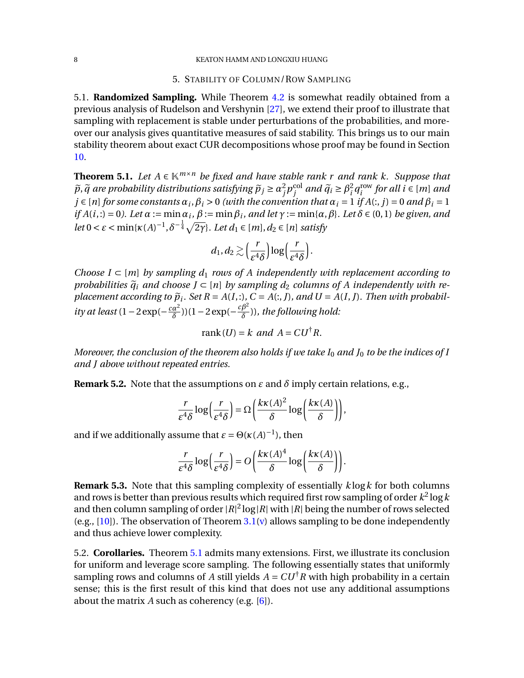## 5. STABILITY OF COLUMN/ROW SAMPLING

<span id="page-7-1"></span>5.1. **Randomized Sampling.** While Theorem [4.2](#page-6-0) is somewhat readily obtained from a previous analysis of Rudelson and Vershynin [\[27\]](#page-17-2), we extend their proof to illustrate that sampling with replacement is stable under perturbations of the probabilities, and moreover our analysis gives quantitative measures of said stability. This brings us to our main stability theorem about exact CUR decompositions whose proof may be found in Section [10.](#page-14-0)

<span id="page-7-0"></span>**Theorem 5.1.** *Let A* ∈ K*m*×*<sup>n</sup> be fixed and have stable rank r and rank k. Suppose that*  $\widetilde{p}$ ,  $\widetilde{q}$  are probability distributions satisfying  $\widetilde{p}_j \ge a_j^2$  $^2_j p^{\rm col}_j$  $\int_{i}^{\text{col}}$  and  $\tilde{q}_i \geq \beta_i^2$  $i^2 q_i^{\text{row}}$  $\int_i^{\text{row}}$  *for all i* ∈  $[m]$  *and*  $j \in [n]$  for some constants  $\alpha_i, \beta_i > 0$  (with the convention that  $\alpha_i = 1$  if  $A(:,j) = 0$  and  $\beta_i = 1$  $if A(i,:) = 0$ . Let  $\alpha := \min \alpha_i$ ,  $\beta := \min \beta_i$ , and let  $\gamma := \min \{\alpha, \beta\}$ . Let  $\delta \in (0,1)$  be given, and *let*  $0 < \varepsilon < \min\{\kappa(A)^{-1}, \delta^{-\frac{1}{4}}\sqrt{2\gamma}\}\)$ . Let  $d_1 \in [m], d_2 \in [n]$  satisfy

$$
d_1, d_2 \gtrsim \left(\frac{r}{\varepsilon^4 \delta}\right) \log \left(\frac{r}{\varepsilon^4 \delta}\right).
$$

*Choose I*  $\subset$  [*m*] *by sampling d*<sub>1</sub> *rows of A independently with replacement according to probabilities*  $\tilde{q}_i$  *and choose*  $J \subset [n]$  *by sampling*  $d_2$  *columns of A independently with replacement according to*  $\tilde{p}_i$ *. Set R* = *A*(*I*, *i*)*, C* = *A*(*i*, *J*)*, and U* = *A*(*I*, *J*)*. Then with probability at least* (1 − 2 exp( $-\frac{c\alpha^2}{\delta}$  $\frac{\alpha^2}{\delta}$ ))(1 – 2 exp( $-\frac{c\beta^2}{\delta}$ *δ* ))*, the following hold:*

$$
rank(U) = k \ and \ A = CU^{\dagger}R.
$$

*Moreover, the conclusion of the theorem also holds if we take I*<sup>0</sup> *and J*<sup>0</sup> *to be the indices of I and J above without repeated entries.*

<span id="page-7-2"></span>**Remark 5.2.** Note that the assumptions on  $\varepsilon$  and  $\delta$  imply certain relations, e.g.,

$$
\frac{r}{\varepsilon^4 \delta} \log \left( \frac{r}{\varepsilon^4 \delta} \right) = \Omega \left( \frac{k \kappa(A)^2}{\delta} \log \left( \frac{k \kappa(A)}{\delta} \right) \right),\,
$$

and if we additionally assume that  $\varepsilon = \Theta(\kappa(A)^{-1})$ , then

$$
\frac{r}{\varepsilon^4 \delta} \log \left( \frac{r}{\varepsilon^4 \delta} \right) = O \left( \frac{k \kappa (A)^4}{\delta} \log \left( \frac{k \kappa (A)}{\delta} \right) \right).
$$

**Remark 5.3.** Note that this sampling complexity of essentially *k* log*k* for both columns and rows is better than previous results which required first row sampling of order  $k^2\log k$ and then column sampling of order  $|R|^2 \log |R|$  with  $|R|$  being the number of rows selected (e.g.,  $[10]$ ). The observation of Theorem [3.1\(](#page-3-1)[v\)](#page-4-1) allows sampling to be done independently and thus achieve lower complexity.

5.2. **Corollaries.** Theorem [5.1](#page-7-0) admits many extensions. First, we illustrate its conclusion for uniform and leverage score sampling. The following essentially states that uniformly sampling rows and columns of *A* still yields  $A = CU^{\dagger}R$  with high probability in a certain sense; this is the first result of this kind that does not use any additional assumptions about the matrix *A* such as coherency (e.g. [\[6\]](#page-16-8)).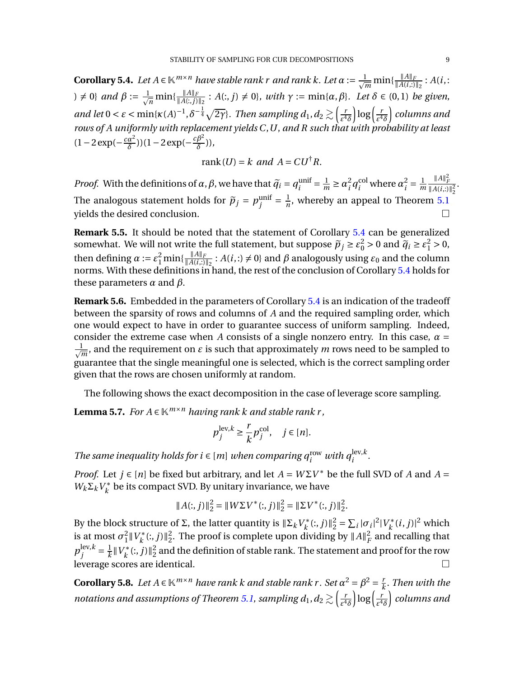<span id="page-8-0"></span>**Corollary 5.4.** Let  $A \in \mathbb{K}^{m \times n}$  have stable rank r and rank k. Let  $\alpha := \frac{1}{\sqrt{m}} \min\{\frac{\|A\|_F}{\|A(i,:)\|_2} : A(i,:)\}$  $p \neq 0$  *and*  $\beta := \frac{1}{\sqrt{n}} \min \{ \frac{\|A\|_F}{\|A(:,j)\|_2} : A(:,j) \neq 0 \}$ *, with*  $\gamma := \min\{\alpha, \beta\}$ *. Let*  $\delta \in (0,1)$  *be given, and let*  $0 < \varepsilon < \min\{\kappa(A)^{-1}, \delta^{-\frac{1}{4}}\sqrt{2\gamma}\}\$ . Then sampling  $d_1, d_2 \gtrsim \left(\frac{r}{\varepsilon^4}\right)$ *ε* 4*δ*  $\log\left(\frac{r}{c^4}\right)$ *ε* 4*δ* ´ *columns and rows of A uniformly with replacement yields C*,*U*, *and R such that with probability at least*  $(1-2 \exp(-\frac{c\alpha^2}{\delta})$  $\frac{\alpha^2}{\delta}$ ))(1 – 2 exp( $-\frac{c\beta^2}{\delta}$ *δ* ))*,*

$$
rank(U) = k \ and \ A = CU^{\dagger}R.
$$

*Proof.* With the definitions of  $\alpha$ ,  $\beta$ , we have that  $\widetilde{q}_i = q_i^{\text{unit}}$  $\frac{\text{unif}}{i} = \frac{1}{n}$  $\frac{1}{m} \geq \alpha_i^2$  $\frac{2}{i}q_i^{\text{col}}$  where  $\alpha_i^2$  $\frac{2}{i} = \frac{1}{n}$ *m*  $\frac{\|A\|_F^2}{\|A(i,:)\|_2^2}$ . The analogous statement holds for  $\tilde{p}_j = p_j^{\text{unit}}$  $\frac{1}{j}$  =  $\frac{1}{n}$  $\frac{1}{n}$ , whereby an appeal to Theorem [5.1](#page-7-0) yields the desired conclusion.

<span id="page-8-2"></span>**Remark 5.5.** It should be noted that the statement of Corollary [5.4](#page-8-0) can be generalized somewhat. We will not write the full statement, but suppose  $\tilde{p}_j \ge \varepsilon_0^2 > 0$  and  $\tilde{q}_i \ge \varepsilon_1^2 > 0$ , then defining  $\alpha := \varepsilon_1^2 \min\{\frac{\|A\|_F}{\|A(i,:)\|_2} : A(i,:)\neq 0\}$  and  $\beta$  analogously using  $\varepsilon_0$  and the column norms. With these definitions in hand, the rest of the conclusion of Corollary [5.4](#page-8-0) holds for these parameters *α* and *β*.

**Remark 5.6.** Embedded in the parameters of Corollary [5.4](#page-8-0) is an indication of the tradeoff between the sparsity of rows and columns of *A* and the required sampling order, which one would expect to have in order to guarantee success of uniform sampling. Indeed, consider the extreme case when *A* consists of a single nonzero entry. In this case,  $\alpha$  =  $\frac{-1}{2}$  $\frac{1}{m}$ , and the requirement on  $\varepsilon$  is such that approximately  $m$  rows need to be sampled to guarantee that the single meaningful one is selected, which is the correct sampling order given that the rows are chosen uniformly at random.

The following shows the exact decomposition in the case of leverage score sampling.

<span id="page-8-1"></span>**Lemma 5.7.** *For*  $A \in \mathbb{K}^{m \times n}$  *having rank k and stable rank r*,

$$
p_j^{\text{lev},k} \ge \frac{r}{k} p_j^{\text{col}}, \quad j \in [n].
$$

*The same inequality holds for*  $i \in [m]$  *when comparing*  $q_i^{\text{row}}$  *with*  $q_i^{\text{lev},k}$ *.* 

*Proof.* Let *j* ∈ [*n*] be fixed but arbitrary, and let  $A = W\Sigma V^*$  be the full SVD of *A* and  $A =$  $W_k\Sigma_kV_k^*$  $\mathcal{L}_k^*$  be its compact SVD. By unitary invariance, we have

$$
||A(:,j)||_2^2 = ||W\Sigma V^*(:,j)||_2^2 = ||\Sigma V^*(:,j)||_2^2.
$$

By the block structure of Σ, the latter quantity is  $\left\| \Sigma_k V_k^* \right\|$  $\sum_{k}^{k}$  (:, *j*)  $\|_{2}^{2} = \sum_{i} |\sigma_{i}|^{2} |V_{k}^{*}|$  $(k^*(i,j)|^2$  which is at most  $\sigma_1^2$  $\frac{2}{1}$ ||  $V_k^*$  $\chi_k^*(:, j)$   $\|_2^2$  $_2^2$ . The proof is complete upon dividing by  $\|A\|_F^2$  $\frac{2}{F}$  and recalling that  $p_i^{\text{lev},k}$  $j$ <sup>lev, $k = \frac{1}{k}$ </sup>  $\frac{1}{k}$  *W*<sup>\*</sup>  $\int_k^*(:,j)\|_2^2$  $\frac{2}{2}$  and the definition of stable rank. The statement and proof for the row leverage scores are identical.

**Corollary 5.8.** Let  $A \in \mathbb{K}^{m \times n}$  have rank k and stable rank r. Set  $\alpha^2 = \beta^2 = \frac{r}{k}$ *k* . *Then with the notations and assumptions of Theorem [5.1,](#page-7-0) sampling*  $d_1, d_2 \gtrsim \left(\frac{R}{\epsilon^4}\right)$ *ε* 4*δ*  $\log \left( \frac{r}{c^4} \right)$ *ε* 4*δ* ´ *columns and*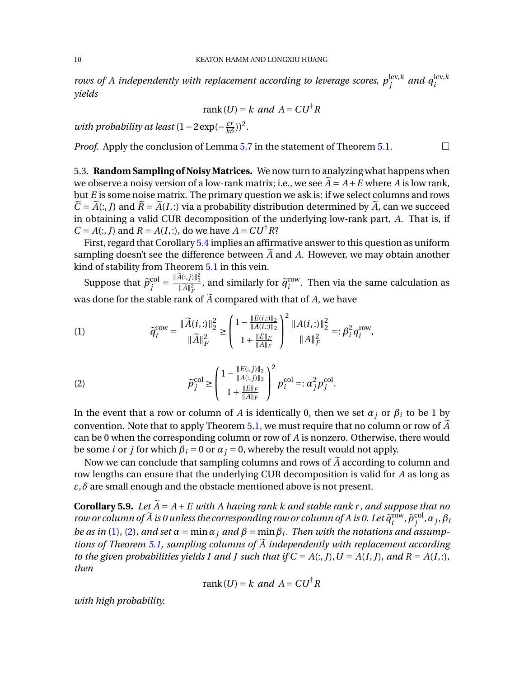*rows of A independently with replacement according to leverage scores,*  $p_j^{\text{lev},k}$  *and*  $q_i^{\text{lev},k}$ *yields*

$$
rank(U) = k \ and \ A = CU^{\dagger} R
$$

*with probability at least* (1 – 2 exp(– $\frac{cr}{k^2}$  $\frac{cr}{k\delta})^2$ .

*Proof.* Apply the conclusion of Lemma [5.7](#page-8-1) in the statement of Theorem [5.1.](#page-7-0)  $\Box$ 

5.3. **Random Sampling of Noisy Matrices.** We now turn to analyzing what happens when we observe a noisy version of a low-rank matrix; i.e., we see  $\tilde{A} = A + E$  where A is low rank, but *E* is some noise matrix. The primary question we ask is: if we select columns and rows  $\tilde{C} = \tilde{A}(:,J)$  and  $\tilde{R} = \tilde{A}(I,:)$  via a probability distribution determined by  $\tilde{A}$ , can we succeed in obtaining a valid CUR decomposition of the underlying low-rank part, *A*. That is, if  $C = A(:, J)$  and  $R = A(I,:)$ , do we have  $A = CU^{\dagger}R$ ?

First, regard that Corollary [5.4](#page-8-0) implies an affirmative answer to this question as uniform sampling doesn't see the difference between  $\widetilde{A}$  and  $A$ . However, we may obtain another kind of stability from Theorem [5.1](#page-7-0) in this vein.

Suppose that  $\widetilde{p}_j^{\mathrm{col}}$  $\hat{g}^{\text{col}}_j = \frac{\|\widetilde{A}(:,j)\|^2_2}{\|\widetilde{A}\|^2_F}$ , and similarly for  $\widetilde{q}^{\text{row}}_i$  $i^{\text{row}}$ . Then via the same calculation as was done for the stable rank of  $\widetilde{A}$  compared with that of  $A$ , we have

<span id="page-9-0"></span>(1) 
$$
\widetilde{q}_{i}^{\text{row}} = \frac{\|\widetilde{A}(i,:)\|_{2}^{2}}{\|\widetilde{A}\|_{F}^{2}} \ge \left(\frac{1 - \frac{\|E(i,:)\|_{2}}{\|A(i,:)\|_{2}}}{1 + \frac{\|E\|_{F}}{\|A\|_{F}}}\right)^{2} \frac{\|A(i,:)\|_{2}^{2}}{\|A\|_{F}^{2}} =: \beta_{i}^{2} q_{i}^{\text{row}},
$$

<span id="page-9-1"></span>(2) 
$$
\widetilde{p}_j^{\text{col}} \ge \left(\frac{1 - \frac{\|E(:,j)\|_2}{\|A(:,j)\|_2}}{1 + \frac{\|E\|_F}{\|A\|_F}}\right)^2 p_i^{\text{col}} =: \alpha_j^2 p_j^{\text{col}}.
$$

In the event that a row or column of *A* is identically 0, then we set  $\alpha_j$  or  $\beta_i$  to be 1 by convention. Note that to apply Theorem [5.1,](#page-7-0) we must require that no column or row of  $\tilde{A}$ can be 0 when the corresponding column or row of *A* is nonzero. Otherwise, there would be some *i* or *j* for which  $\beta_i = 0$  or  $\alpha_j = 0$ , whereby the result would not apply.

Now we can conclude that sampling columns and rows of  $\tilde{A}$  according to column and row lengths can ensure that the underlying CUR decomposition is valid for *A* as long as *ε*,*δ* are small enough and the obstacle mentioned above is not present.

<span id="page-9-2"></span>**Corollary 5.9.** *Let*  $\widetilde{A} = A + E$  *with* A having rank k and stable rank r, and suppose that no *row or column of*  $\widetilde{A}$  is 0 unless the corresponding row or column of A is 0. Let  $\widetilde{q}^{\text{row}}_i$  $\widetilde{p}_j^{\text{col}}$ *j* ,*α<sup>j</sup>* ,*β<sup>i</sup> be as in* [\(1\)](#page-9-0), [\(2\)](#page-9-1), and set  $\alpha = \min \alpha_j$  and  $\beta = \min \beta_i$ . Then with the notations and assump-*tions of Theorem [5.1,](#page-7-0) sampling columns of*  $\widetilde{A}$  *independently with replacement according to the given probabilities yields I and J such that if*  $C = A(:, J), U = A(I, J),$  *and*  $R = A(I,:)$ *, then*

$$
rank(U) = k \ and \ A = CU^{\dagger} R
$$

*with high probability.*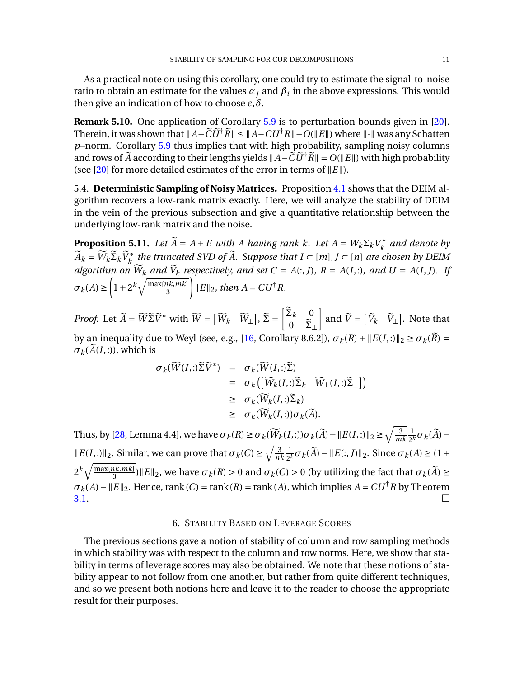As a practical note on using this corollary, one could try to estimate the signal-to-noise ratio to obtain an estimate for the values  $\alpha_j$  and  $\beta_i$  in the above expressions. This would then give an indication of how to choose *ε*,*δ*.

**Remark 5.10.** One application of Corollary [5.9](#page-9-2) is to perturbation bounds given in [\[20\]](#page-16-9). Therein, it was shown that  $||A-\widetilde{C}\widetilde{U}^{\dagger}\widetilde{R}|| \leq ||A-CU^{\dagger}R|| + O(||E||)$  where  $||\cdot||$  was any Schatten *p*–norm. Corollary [5.9](#page-9-2) thus implies that with high probability, sampling noisy columns and rows of  $\tilde{A}$  according to their lengths yields  $||A-\tilde{C}\tilde{U}^{\dagger}\tilde{R}|| = O(||E||)$  with high probability (see [\[20\]](#page-16-9) for more detailed estimates of the error in terms of  $||E||$ ).

5.4. **Deterministic Sampling of Noisy Matrices.** Proposition [4.1](#page-5-1) shows that the DEIM algorithm recovers a low-rank matrix exactly. Here, we will analyze the stability of DEIM in the vein of the previous subsection and give a quantitative relationship between the underlying low-rank matrix and the noise.

**Proposition 5.11.** *Let*  $\widetilde{A} = A + E$  *with*  $A$  *having rank k. Let*  $A = W_k \Sigma_k V_k^*$ *k and denote by*  $\widetilde{A}_k = \widetilde{W}_k \widetilde{\Sigma}_k \widetilde{V}_k^*$  the truncated SVD of  $\widetilde{A}$ . Suppose that  $I \subset [m], J \subset [n]$  are chosen by DEIM *algorithm on*  $\widetilde{W}_k$  *and*  $\widetilde{V}_k$  *respectively, and set*  $C = A(:, J)$ *,*  $R = A(I,:)$ *<i>, and*  $U = A(I, J)$ *. If*  $\sigma_k(A) \geq \left(1 + 2^k \sqrt{\frac{\max\{nk,mk\}}{3}}\right)$ 3  $\left\|E\right\|_2$ , then  $A = CU^{\dagger}R$ .

*Proof.* Let  $\widetilde{A} = \widetilde{W} \widetilde{\Sigma} \widetilde{V}^*$  with  $\widetilde{W} = \begin{bmatrix} \widetilde{W}_k & \widetilde{W}_{\perp} \end{bmatrix}$ ,  $\widetilde{\Sigma} = \begin{bmatrix} \Sigma_k & 0 \\ 0 & \widetilde{\Sigma} \end{bmatrix}$  $0 \quad \Sigma_{\perp}$ and  $\tilde{V} = \begin{bmatrix} \tilde{V}_k & \tilde{V}_\perp \end{bmatrix}$ . Note that by an inequality due to Weyl (see, e.g., [\[16,](#page-16-15) Corollary 8.6.2]),  $\sigma_k(R) + ||E(I,:)||_2 \ge \sigma_k(\widetilde{R}) =$  $\sigma_k(\tilde{A}(I,:))$ , which is

$$
\sigma_k(\widetilde{W}(I,:)\widetilde{\Sigma}\widetilde{V}^*) = \sigma_k(\widetilde{W}(I,:)\widetilde{\Sigma})
$$
  
\n
$$
= \sigma_k([\widetilde{W}_k(I,:)\widetilde{\Sigma}_k \ \widetilde{W}_\perp(I,:)\widetilde{\Sigma}_\perp])
$$
  
\n
$$
\geq \sigma_k(\widetilde{W}_k(I,:)\widetilde{\Sigma}_k)
$$
  
\n
$$
\geq \sigma_k(\widetilde{W}_k(I,:))\sigma_k(\widetilde{A}).
$$

Thus, by [\[28,](#page-17-5) Lemma 4.4], we have  $\sigma_k(R) \ge \sigma_k(\widetilde{W}_k(I,:))\sigma_k(\widetilde{A}) - \|E(I,:)\|_2 \ge \sqrt{\frac{3}{m}}$ *mk* 1  $\frac{1}{2^k} \sigma_k(\widetilde{A}) ||E(I,:)||_2$ . Similar, we can prove that *σk*(*C*) ≥  $\sqrt{\frac{3}{n}}$ *nk* 1  $\frac{1}{2^k} \sigma_k(\widetilde{A}) - ||E(:,J)||_2$ . Since  $\sigma_k(A) \geq (1 + \sigma_k(A))$  $2^k \sqrt{\frac{\max\{nk,mk\}}{3}}$  $\frac{dk,mk}{3}$ )  $||E||_2$ , we have  $\sigma_k(R) > 0$  and  $\sigma_k(C) > 0$  (by utilizing the fact that  $\sigma_k(\widetilde{A}) \ge$  $\sigma_k(A) - \|E\|_2$ . Hence, rank (*C*) = rank (*R*) = rank (*A*), which implies  $A = CU^{\dagger}R$  by Theorem  $3.1.$ 

# 6. STABILITY BASED ON LEVERAGE SCORES

<span id="page-10-0"></span>The previous sections gave a notion of stability of column and row sampling methods in which stability was with respect to the column and row norms. Here, we show that stability in terms of leverage scores may also be obtained. We note that these notions of stability appear to not follow from one another, but rather from quite different techniques, and so we present both notions here and leave it to the reader to choose the appropriate result for their purposes.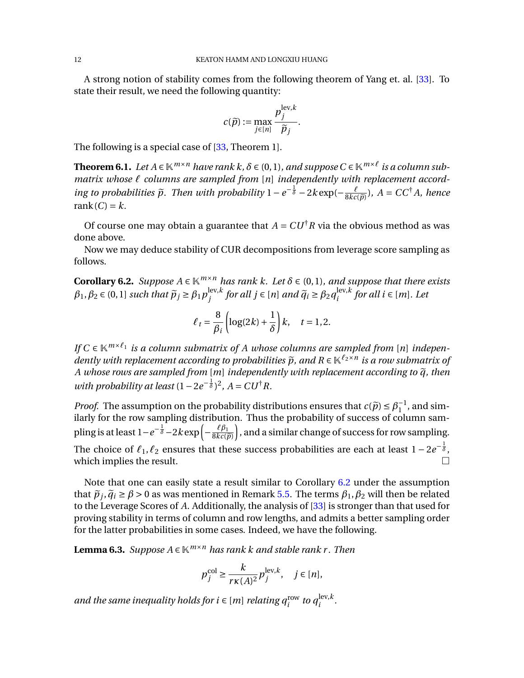A strong notion of stability comes from the following theorem of Yang et. al. [\[33\]](#page-17-7). To state their result, we need the following quantity:

$$
c(\widetilde{p}):=\max_{j\in[n]}\frac{p_j^{\text{lev},k}}{\widetilde{p}_j}.
$$

The following is a special case of [\[33,](#page-17-7) Theorem 1].

**Theorem 6.1.** Let  $A \in \mathbb{K}^{m \times n}$  have rank  $k, \delta \in (0, 1)$ , and suppose  $C \in \mathbb{K}^{m \times \ell}$  is a column sub*matrix whose*  $\ell$  *columns are sampled from* [*n*] *independently with replacement according to probabilities*  $\tilde{p}$ *. Then with probability*  $1 - e^{-\frac{1}{\delta}} - 2k \exp(-\frac{\ell}{8kc})$  $8kc(\widetilde{p})$ )*, A* = *CC*†*A, hence* rank  $(C) = k$ .

Of course one may obtain a guarantee that  $A = CU^{\dagger}R$  via the obvious method as was done above.

Now we may deduce stability of CUR decompositions from leverage score sampling as follows.

<span id="page-11-0"></span>**Corollary 6.2.** *Suppose*  $A \in \mathbb{K}^{m \times n}$  *has rank k. Let*  $\delta \in (0,1)$ *, and suppose that there exists*  $\beta_1, \beta_2 \in (0, 1]$  *such that*  $\widetilde{p}_j \ge \beta_1 p_j^{\text{lev}, k}$  $\int_{j}^{\text{lev},k}$  for all  $j \in [n]$  and  $\widetilde{q}_i \geq \beta_2 q_i^{\text{lev},k}$  $i$ <sup>lev,*k*</sup> for all i ∈ [m]. Let

$$
\ell_t = \frac{8}{\beta_i} \left( \log(2k) + \frac{1}{\delta} \right) k, \quad t = 1, 2.
$$

*If*  $C \in \mathbb{K}^{m \times \ell_1}$  is a column submatrix of A whose columns are sampled from [n] indepen*dently with replacement according to probabilities*  $\tilde{p}$ , and  $R \in \mathbb{K}^{\ell_2 \times n}$  *is a row submatrix of*<br>A whose rows are sampled from  $[m]$  independently with replacement according to  $\tilde{a}$ , then *A whose rows are sampled from* [*m*] *independently with replacement according to q, then* <sup>e</sup> *with probability at least*  $(1 - 2e^{-\frac{1}{\delta}})^2$ ,  $A = CU^{\dagger}R$ .

*Proof.* The assumption on the probability distributions ensures that  $c(\tilde{p}) \leq \beta_1^{-1}$ <br>ilorly for the row sampling distribution. Thus the probability of success of col- $_1^{-1}$ , and similarly for the row sampling distribution. Thus the probability of success of column sam- $\frac{\ell \beta_1}{\beta}$  pling is at least 1−*e*<sup>- $\frac{1}{\delta}$ </sup>−2*k* exp $\left(-\frac{\ell \beta_1}{8k c(3)}\right)$  $8kc(\widetilde{p})$ ), and a similar change of success for row sampling. The choice of  $\ell_1, \ell_2$  ensures that these success probabilities are each at least  $1 - 2e^{-\frac{1}{\delta}},$ which implies the result.

Note that one can easily state a result similar to Corollary [6.2](#page-11-0) under the assumption that  $\tilde{p}_j$ ,  $\tilde{q}_i \ge \beta > 0$  as was mentioned in Remark [5.5.](#page-8-2) The terms  $\beta_1$ ,  $\beta_2$  will then be related to the Larger Secret of A. Additionally the applying of [22] is stronger than that used for to the Leverage Scores of *A*. Additionally, the analysis of [\[33\]](#page-17-7) is stronger than that used for proving stability in terms of column and row lengths, and admits a better sampling order for the latter probabilities in some cases. Indeed, we have the following.

<span id="page-11-1"></span>**Lemma 6.3.** *Suppose*  $A ∈ K<sup>m×n</sup>$  *has rank k and stable rank r. Then* 

$$
p_j^{\text{col}} \ge \frac{k}{r\kappa(A)^2} p_j^{\text{lev},k}, \quad j \in [n],
$$

and the same inequality holds for  $i \in [m]$  relating  $q_i^{\text{row}}$  to  $q_i^{\text{lev},k}$ .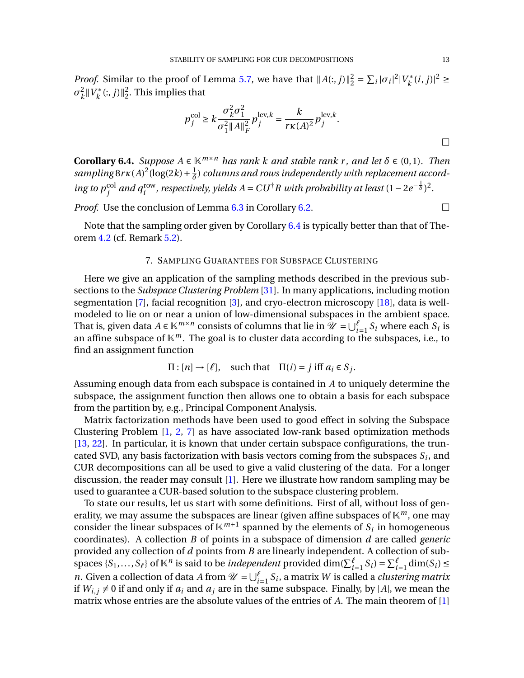*Proof.* Similar to the proof of Lemma [5.7,](#page-8-1) we have that  $||A(:, j)||_2^2 = \sum_i |\sigma_i|^2 |V_k^*|$  $(k, j)|^2 \geq$  $\sigma^2_{\it k}$  $\frac{2}{k}$  *W*<sup>\*</sup><sub>*k*</sub>  $\chi_k^*(:,\,j)\|_2^2$  $\frac{2}{2}$ . This implies that

$$
p_j^{\text{col}} \ge k \frac{\sigma_k^2 \sigma_1^2}{\sigma_1^2 \|A\|_F^2} p_j^{\text{lev},k} = \frac{k}{r \kappa(A)^2} p_j^{\text{lev},k}.
$$

<span id="page-12-1"></span>**Corollary 6.4.** *Suppose*  $A \in \mathbb{K}^{m \times n}$  *has rank k and stable rank r, and let*  $\delta \in (0,1)$ *. Then*  $sampling8r\kappa(A)^{2}(\log(2k)+\frac{1}{\delta})$ *δ* ) *columns and rows independently with replacement according to*  $p_j^{\text{col}}$  *and*  $q_i^{\text{row}}$ *, respectively, yields*  $A = CU^\dagger R$  *with probability at least* (1 – 2*e*<sup>- $\frac{1}{\delta}$ )<sup>2</sup>.</sup>

*Proof.* Use the conclusion of Lemma [6.3](#page-11-1) in Corollary [6.2.](#page-11-0) □

Note that the sampling order given by Corollary [6.4](#page-12-1) is typically better than that of Theorem [4.2](#page-6-0) (cf. Remark [5.2\)](#page-7-2).

## 7. SAMPLING GUARANTEES FOR SUBSPACE CLUSTERING

<span id="page-12-0"></span>Here we give an application of the sampling methods described in the previous subsections to the *Subspace Clustering Problem* [\[31\]](#page-17-8). In many applications, including motion segmentation [\[7\]](#page-16-16), facial recognition [\[3\]](#page-16-17), and cryo-electron microscopy [\[18\]](#page-16-18), data is wellmodeled to lie on or near a union of low-dimensional subspaces in the ambient space. That is, given data *A* ∈  $\mathbb{K}^{m \times n}$  consists of columns that lie in  $\mathcal{U} = \bigcup_{i=1}^{\ell} S_i$  where each  $S_i$  is an affine subspace of  $K^m$ . The goal is to cluster data according to the subspaces, i.e., to find an assignment function

$$
\Pi
$$
:  $[n] \rightarrow [\ell]$ , such that  $\Pi(i) = j$  iff  $a_i \in S_j$ .

Assuming enough data from each subspace is contained in *A* to uniquely determine the subspace, the assignment function then allows one to obtain a basis for each subspace from the partition by, e.g., Principal Component Analysis.

Matrix factorization methods have been used to good effect in solving the Subspace Clustering Problem [\[1,](#page-16-19) [2,](#page-16-20) [7\]](#page-16-16) as have associated low-rank based optimization methods [\[13,](#page-16-21) [22\]](#page-16-22). In particular, it is known that under certain subspace configurations, the truncated SVD, any basis factorization with basis vectors coming from the subspaces  $S_i$ , and CUR decompositions can all be used to give a valid clustering of the data. For a longer discussion, the reader may consult [\[1\]](#page-16-19). Here we illustrate how random sampling may be used to guarantee a CUR-based solution to the subspace clustering problem.

To state our results, let us start with some definitions. First of all, without loss of generality, we may assume the subspaces are linear (given affine subspaces of  $K^m$ , one may consider the linear subspaces of  $K^{m+1}$  spanned by the elements of  $S_i$  in homogeneous coordinates). A collection *B* of points in a subspace of dimension *d* are called *generic* provided any collection of *d* points from *B* are linearly independent. A collection of subspaces  $\{S_1,\ldots,S_\ell\}$  of  $\mathbb{K}^n$  is said to be *independent* provided  $\dim(\sum_{i=1}^\ell S_i) = \sum_{i=1}^\ell \dim(S_i) \leq \ell$ *n*. Given a collection of data *A* from  $\mathcal{U} = \bigcup_{i=1}^{\ell} S_i$ , a matrix *W* is called a *clustering matrix* if  $W_{i,j} \neq 0$  if and only if  $a_i$  and  $a_j$  are in the same subspace. Finally, by |*A*|, we mean the matrix whose entries are the absolute values of the entries of *A*. The main theorem of [\[1\]](#page-16-19)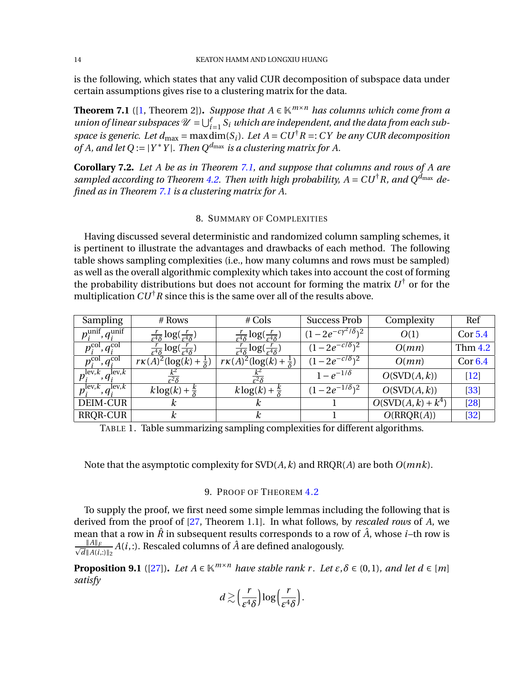is the following, which states that any valid CUR decomposition of subspace data under certain assumptions gives rise to a clustering matrix for the data.

<span id="page-13-3"></span>**Theorem 7.1** ([\[1,](#page-16-19) Theorem 2]). *Suppose that*  $A \in \mathbb{K}^{m \times n}$  *has columns which come from a* union of linear subspaces  $\mathcal{U} = \bigcup_{i=1}^\ell S_i$  which are independent, and the data from each sub*space is generic. Let*  $d_{\text{max}} = \text{maxdim}(S_i)$ *. Let*  $A = CU^{\dagger}R =: CY$  *be any CUR decomposition of A, and let*  $Q := |Y^*Y|$ *. Then*  $Q^{d_{\text{max}}}$  *is a clustering matrix for A.* 

<span id="page-13-0"></span>**Corollary 7.2.** *Let A be as in Theorem [7.1,](#page-13-3) and suppose that columns and rows of A are sampled according to Theorem [4.2.](#page-6-0) Then with high probability,*  $A = CU^{\dagger}R$ *, and*  $Q^{\d{d_{\text{max}}}}$  *defined as in Theorem [7.1](#page-13-3) is a clustering matrix for A.*

# 8. SUMMARY OF COMPLEXITIES

<span id="page-13-1"></span>Having discussed several deterministic and randomized column sampling schemes, it is pertinent to illustrate the advantages and drawbacks of each method. The following table shows sampling complexities (i.e., how many columns and rows must be sampled) as well as the overall algorithmic complexity which takes into account the cost of forming the probability distributions but does not account for forming the matrix  $U^{\dagger}$  or for the multiplication  $CU^{\dagger}R$  since this is the same over all of the results above.

| Sampling                                                               | # Rows                                                          | $# \text{Cols}$                                                 | Success Prob                     | Complexity           | Ref       |
|------------------------------------------------------------------------|-----------------------------------------------------------------|-----------------------------------------------------------------|----------------------------------|----------------------|-----------|
| $p_i^{\text{unif}}, q_i^{\text{unif}}$                                 | $\frac{r}{\epsilon^4\delta}\log(\frac{r}{\epsilon^4\delta})$    | $\frac{r}{\epsilon^4\delta}\log(\frac{r}{\epsilon^4\delta})$    | $(1 - 2e^{-c\gamma^2/\delta})^2$ | O(1)                 | Cor 5.4   |
| $p_i^{\text{col}}, q_i^{\text{col}}$                                   | $\frac{r}{\epsilon^4 \delta} \log(\frac{r}{\epsilon^4 \delta})$ | $\frac{r}{\epsilon^4 \delta} \log(\frac{r}{\epsilon^4 \delta})$ | $(1-2e^{-c/\delta})^2$           | O(mn)                | Thm $4.2$ |
| $p_i^{\text{col}}, q_i^{\text{col}}$                                   | $r\kappa(A)^2(\log(k)+\frac{1}{\delta})$                        | $\overline{r\kappa(A)^2(\log(k)+\frac{1}{\delta})}$             | $(1 - 2e^{-c/\delta})^2$         | O(mn)                | Cor 6.4   |
| $\lbrack \text{lev},k \rbrack$ $\lbrack \text{lev},k \rbrack$<br>$q_i$ | $\overline{\varepsilon^2 \delta}$                               | $\overline{\varepsilon^2 \delta}$                               | $1 - e^{-1/\delta}$              | O(SVD(A, k))         | $[12]$    |
| $p^{\text{lev},k}, q^{\text{lev},k}$                                   | $k\log(k) + \frac{k}{\delta}$                                   | $k\log(k) + \frac{k}{5}$                                        | $(1-2e^{-1/\delta})^2$           | O(SVD(A, k))         | $[33]$    |
| <b>DEIM-CUR</b>                                                        |                                                                 |                                                                 |                                  | $O(SVD(A, k) + k^4)$ | [28]      |
| <b>RRQR-CUR</b>                                                        | k                                                               | κ                                                               |                                  | O(RRQR(A))           | $[32]$    |

TABLE 1. Table summarizing sampling complexities for different algorithms.

Note that the asymptotic complexity for SVD(*A*,*k*) and RRQR(*A*) are both *O*(*mnk*).

# 9. PROOF OF THEOREM [4.2](#page-6-0)

<span id="page-13-2"></span>To supply the proof, we first need some simple lemmas including the following that is derived from the proof of [\[27,](#page-17-2) Theorem 1.1]. In what follows, by *rescaled rows* of *A*, we mean that a row in  $\hat{R}$  in subsequent results corresponds to a row of  $\hat{A}$ , whose *i*–th row is  $\underline{\|A\|_F}$  $\frac{\|A\|_F}{\overline{d}\|A(i,:)\|_2}A(i,:)$ . Rescaled columns of  $\hat{A}$  are defined analogously.

<span id="page-13-4"></span>**Proposition 9.1** ([\[27\]](#page-17-2)). Let  $A \in \mathbb{K}^{m \times n}$  have stable rank r. Let  $\varepsilon, \delta \in (0, 1)$ *, and let*  $d \in [m]$ *satisfy*

$$
d \gtrsim \left(\frac{r}{\varepsilon^4 \delta}\right) \log \left(\frac{r}{\varepsilon^4 \delta}\right).
$$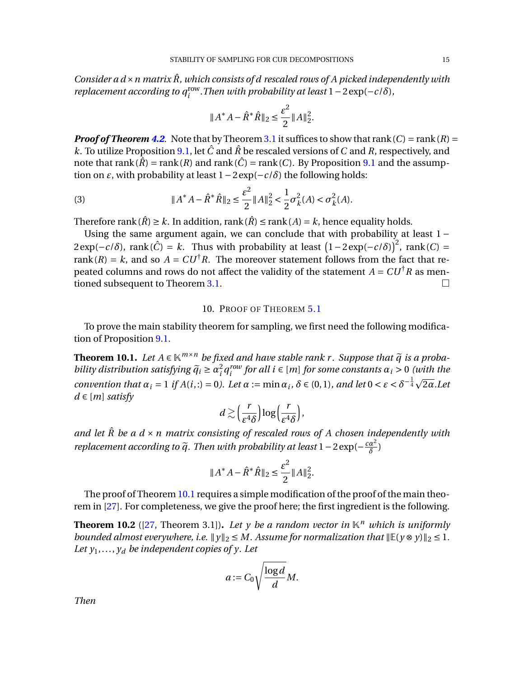*Consider a d*  $\times$ *n* matrix  $\hat{R}$ , which consists of d rescaled rows of A picked independently with *replacement according to*  $q_i^{\text{row}}$ *. Then with probability at least*  $1 - 2 \exp(-c/\delta)$ *,* 

$$
||A^*A - \hat{R}^*\hat{R}||_2 \le \frac{\varepsilon^2}{2} ||A||_2^2.
$$

*Proof of Theorem [4.2](#page-6-0).* Note that by Theorem [3.1](#page-3-1) it suffices to show that rank  $(C) = \text{rank}(R) =$ *k*. To utilize Proposition [9.1,](#page-13-4) let *C*ˆ and *R*ˆ be rescaled versions of *C* and *R*, respectively, and note that rank  $(\hat{R})$  = rank  $(R)$  and rank  $(\hat{C})$  = rank  $(C)$ . By Proposition [9.1](#page-13-4) and the assumption on *ε*, with probability at least  $1 - 2$  exp( $-c/δ$ ) the following holds:

(3) 
$$
\|A^*A - \hat{R}^*\hat{R}\|_2 \le \frac{\varepsilon^2}{2} \|A\|_2^2 < \frac{1}{2}\sigma_k^2(A) < \sigma_k^2(A).
$$

Therefore rank  $(\hat{R}) \ge k$ . In addition, rank  $(\hat{R}) \le rank(A) = k$ , hence equality holds.

Using the same argument again, we can conclude that with probability at least 1 −  $2 \exp(-c/\delta)$ , rank $(\hat{C}) = k$ . Thus with probability at least  $(1 - 2 \exp(-c/\delta))^2$ , rank $(C) =$ rank  $(R) = k$ , and so  $A = CU^{\dagger}R$ . The moreover statement follows from the fact that repeated columns and rows do not affect the validity of the statement  $A = CU^{\dagger}R$  as mentioned subsequent to Theorem [3.1.](#page-3-1)

#### 10. PROOF OF THEOREM [5.1](#page-7-0)

<span id="page-14-0"></span>To prove the main stability theorem for sampling, we first need the following modification of Proposition [9.1.](#page-13-4)

<span id="page-14-1"></span>**Theorem 10.1.** *Let*  $A \in \mathbb{K}^{m \times n}$  *be fixed and have stable rank r. Suppose that*  $\tilde{q}$  *is a probability distribution satisfying*  $\widetilde{q}_i \geq \alpha_i^2$ *i q row*  $\int_{i}^{row}$  *for all i*  $\in$  [*m*] *for some constants*  $\alpha_i$  > 0 *(with the convention that*  $\alpha_i = 1$  *if*  $A(i,:) = 0$ *). Let*  $\alpha := \min \alpha_i$ ,  $\delta \in (0,1)$ *, and let*  $0 < \varepsilon < \delta^{-\frac{1}{4}}$  $\omega$ 2*α.Let*  $d ∈ [m]$  *satisfy* 

$$
d \gtrsim \Big(\frac{r}{\varepsilon^4\delta}\Big) \log \Big(\frac{r}{\varepsilon^4\delta}\Big),
$$

*and let*  $\hat{R}$  *be a d*  $\times$  *n matrix consisting of rescaled rows of A chosen independently with replacement according to*  $\tilde{q}$ *. Then with probability at least*  $1 - 2 \exp(-\frac{c\alpha^2}{\delta})$ *δ* )

$$
||A^*A - \hat{R}^*\hat{R}||_2 \le \frac{\varepsilon^2}{2} ||A||_2^2.
$$

The proof of Theorem [10.1](#page-14-1) requires a simple modification of the proof of the main theorem in [\[27\]](#page-17-2). For completeness, we give the proof here; the first ingredient is the following.

<span id="page-14-2"></span>**Theorem 10.2** ([\[27,](#page-17-2) Theorem 3.1]). Let y be a random vector in  $K^n$  which is uniformly *bounded almost everywhere, i.e.*  $||y||_2 \leq M$ . Assume for normalization that  $||E(y \otimes y)||_2 \leq 1$ . *Let y*1,..., *y<sup>d</sup> be independent copies of y. Let*

$$
a:=C_0\sqrt{\frac{\log d}{d}}M.
$$

*Then*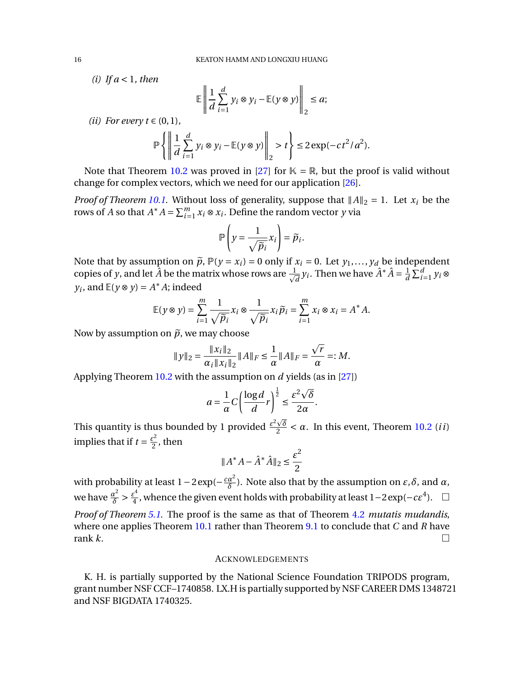*(i) If a* < 1*, then*

$$
\mathbb{E}\left\|\frac{1}{d}\sum_{i=1}^d y_i\otimes y_i - \mathbb{E}(y\otimes y)\right\|_2 \leq a;
$$

*(ii) For every*  $t \in (0, 1)$ *,* 

$$
\mathbb{P}\left\{\left\|\frac{1}{d}\sum_{i=1}^d y_i\otimes y_i - \mathbb{E}(y\otimes y)\right\|_2 > t\right\} \leq 2\exp(-ct^2/a^2).
$$

Note that Theorem [10.2](#page-14-2) was proved in [\[27\]](#page-17-2) for  $K = \mathbb{R}$ , but the proof is valid without change for complex vectors, which we need for our application [\[26\]](#page-17-9).

*Proof of Theorem [10.1.](#page-14-1)* Without loss of generality, suppose that  $||A||_2 = 1$ . Let  $x_i$  be the rows of *A* so that  $A^*A = \sum_{i=1}^m x_i \otimes x_i$ . Define the random vector *y* via

$$
\mathbb{P}\left(y=\frac{1}{\sqrt{\widetilde{p}_i}}x_i\right)=\widetilde{p}_i.
$$

Note that by assumption on  $\tilde{p}$ ,  $\mathbb{P}(y = x_i) = 0$  only if  $x_i = 0$ . Let  $y_1, \ldots, y_d$  be independent conjectively and let  $\hat{A}$  be the matrix whose rows are  $\hat{A}$ ,  $\hat{A}$ . Then we have  $\hat{A}^* \hat{A} = \hat{A} \nabla d$ ,  $\$ copies of *y*, and let  $\hat{A}$  be the matrix whose rows are  $\frac{1}{\sqrt{2}}$  $\frac{1}{d}y_i$ . Then we have  $\hat{A}^*\hat{A} = \frac{1}{d}$  $\frac{1}{d}$  $\sum_{i=1}^{d}$   $y_i$  ⊗  $y_i$ , and  $E(y \otimes y) = A^* A$ ; indeed

$$
\mathbb{E}(y \otimes y) = \sum_{i=1}^{m} \frac{1}{\sqrt{\widetilde{p}_i}} x_i \otimes \frac{1}{\sqrt{\widetilde{p}_i}} x_i \widetilde{p}_i = \sum_{i=1}^{m} x_i \otimes x_i = A^* A.
$$

Now by assumption on  $\tilde{p}$ , we may choose

$$
||y||_2 = \frac{||x_i||_2}{\alpha_i ||x_i||_2} ||A||_F \le \frac{1}{\alpha} ||A||_F = \frac{\sqrt{r}}{\alpha} =: M.
$$

Applying Theorem [10.2](#page-14-2) with the assumption on *d* yields (as in [\[27\]](#page-17-2)) p

$$
a = \frac{1}{\alpha} C \left( \frac{\log d}{d} r \right)^{\frac{1}{2}} \le \frac{\varepsilon^2 \sqrt{\delta}}{2\alpha}.
$$

This quantity is thus bounded by 1 provided  $\frac{\varepsilon^2 \sqrt{2}}{2}$ *δ*  $\frac{\sqrt{\delta}}{2} < \alpha$ . In this event, Theorem [10.2](#page-14-2) (*ii*) implies that if  $t = \frac{\varepsilon^2}{2}$  $\frac{2}{2}$ , then

$$
||A^*A - \hat{A}^*\hat{A}||_2 \le \frac{\varepsilon^2}{2}
$$

with probability at least 1 −2 exp(− *cα* 2 *δ* ). Note also that by the assumption on *ε*,*δ*, and *α*, we have *<sup>α</sup>* 2  $\frac{x^2}{\delta}$  >  $\frac{\varepsilon^4}{4}$  $\frac{e^4}{4}$ , whence the given event holds with probability at least 1−2 exp( $-c\epsilon^4$ ).  $\Box$ *Proof of Theorem [5.1.](#page-7-0)* The proof is the same as that of Theorem [4.2](#page-6-0) *mutatis mudandis*, where one applies Theorem [10.1](#page-14-1) rather than Theorem [9.1](#page-13-4) to conclude that *C* and *R* have rank  $k$ .

## ACKNOWLEDGEMENTS

K. H. is partially supported by the National Science Foundation TRIPODS program, grant number NSF CCF–1740858. LX.H is partially supported by NSF CAREER DMS 1348721 and NSF BIGDATA 1740325.

$$
^{16}
$$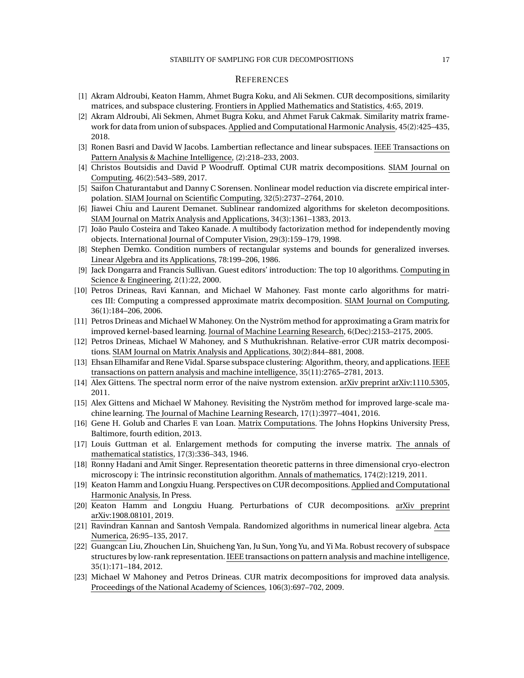#### **REFERENCES**

- <span id="page-16-19"></span>[1] Akram Aldroubi, Keaton Hamm, Ahmet Bugra Koku, and Ali Sekmen. CUR decompositions, similarity matrices, and subspace clustering. Frontiers in Applied Mathematics and Statistics, 4:65, 2019.
- <span id="page-16-20"></span>[2] Akram Aldroubi, Ali Sekmen, Ahmet Bugra Koku, and Ahmet Faruk Cakmak. Similarity matrix framework for data from union of subspaces. Applied and Computational Harmonic Analysis, 45(2):425–435, 2018.
- <span id="page-16-17"></span>[3] Ronen Basri and David W Jacobs. Lambertian reflectance and linear subspaces. IEEE Transactions on Pattern Analysis & Machine Intelligence, (2):218–233, 2003.
- <span id="page-16-2"></span>[4] Christos Boutsidis and David P Woodruff. Optimal CUR matrix decompositions. SIAM Journal on Computing, 46(2):543–589, 2017.
- <span id="page-16-13"></span>[5] Saifon Chaturantabut and Danny C Sorensen. Nonlinear model reduction via discrete empirical interpolation. SIAM Journal on Scientific Computing, 32(5):2737–2764, 2010.
- <span id="page-16-8"></span>[6] Jiawei Chiu and Laurent Demanet. Sublinear randomized algorithms for skeleton decompositions. SIAM Journal on Matrix Analysis and Applications, 34(3):1361–1383, 2013.
- <span id="page-16-16"></span>[7] João Paulo Costeira and Takeo Kanade. A multibody factorization method for independently moving objects. International Journal of Computer Vision, 29(3):159–179, 1998.
- <span id="page-16-12"></span>[8] Stephen Demko. Condition numbers of rectangular systems and bounds for generalized inverses. Linear Algebra and its Applications, 78:199–206, 1986.
- <span id="page-16-0"></span>[9] Jack Dongarra and Francis Sullivan. Guest editors' introduction: The top 10 algorithms. Computing in Science & Engineering, 2(1):22, 2000.
- <span id="page-16-3"></span>[10] Petros Drineas, Ravi Kannan, and Michael W Mahoney. Fast monte carlo algorithms for matrices III: Computing a compressed approximate matrix decomposition. SIAM Journal on Computing, 36(1):184–206, 2006.
- <span id="page-16-4"></span>[11] Petros Drineas and Michael W Mahoney. On the Nyström method for approximating a Gram matrix for improved kernel-based learning. Journal of Machine Learning Research, 6(Dec):2153–2175, 2005.
- <span id="page-16-5"></span>[12] Petros Drineas, Michael W Mahoney, and S Muthukrishnan. Relative-error CUR matrix decompositions. SIAM Journal on Matrix Analysis and Applications, 30(2):844–881, 2008.
- <span id="page-16-21"></span>[13] Ehsan Elhamifar and Rene Vidal. Sparse subspace clustering: Algorithm, theory, and applications.IEEE transactions on pattern analysis and machine intelligence, 35(11):2765–2781, 2013.
- <span id="page-16-10"></span>[14] Alex Gittens. The spectral norm error of the naive nystrom extension. arXiv preprint arXiv:1110.5305, 2011.
- <span id="page-16-11"></span>[15] Alex Gittens and Michael W Mahoney. Revisiting the Nyström method for improved large-scale machine learning. The Journal of Machine Learning Research, 17(1):3977–4041, 2016.
- <span id="page-16-15"></span>[16] Gene H. Golub and Charles F. van Loan. Matrix Computations. The Johns Hopkins University Press, Baltimore, fourth edition, 2013.
- <span id="page-16-6"></span>[17] Louis Guttman et al. Enlargement methods for computing the inverse matrix. The annals of mathematical statistics, 17(3):336–343, 1946.
- <span id="page-16-18"></span>[18] Ronny Hadani and Amit Singer. Representation theoretic patterns in three dimensional cryo-electron microscopy i: The intrinsic reconstitution algorithm. Annals of mathematics, 174(2):1219, 2011.
- <span id="page-16-7"></span>[19] Keaton Hamm and Longxiu Huang. Perspectives on CUR decompositions. Applied and Computational Harmonic Analysis, In Press.
- <span id="page-16-9"></span>[20] Keaton Hamm and Longxiu Huang. Perturbations of CUR decompositions. arXiv preprint arXiv:1908.08101, 2019.
- <span id="page-16-14"></span>[21] Ravindran Kannan and Santosh Vempala. Randomized algorithms in numerical linear algebra. Acta Numerica, 26:95–135, 2017.
- <span id="page-16-22"></span>[22] Guangcan Liu, Zhouchen Lin, Shuicheng Yan, Ju Sun, Yong Yu, and Yi Ma. Robust recovery of subspace structures by low-rank representation. IEEE transactions on pattern analysis and machine intelligence, 35(1):171–184, 2012.
- <span id="page-16-1"></span>[23] Michael W Mahoney and Petros Drineas. CUR matrix decompositions for improved data analysis. Proceedings of the National Academy of Sciences, 106(3):697–702, 2009.